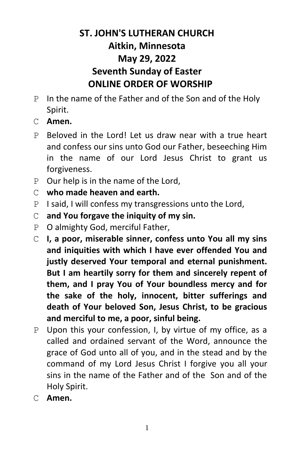# **ST. JOHN'S LUTHERAN CHURCH Aitkin, Minnesota May 29, 2022 Seventh Sunday of Easter ONLINE ORDER OF WORSHIP**

- P In the name of the Father and of the Son and of the Holy Spirit.
- C **Amen.**
- P Beloved in the Lord! Let us draw near with a true heart and confess our sins unto God our Father, beseeching Him in the name of our Lord Jesus Christ to grant us forgiveness.
- P Our help is in the name of the Lord,
- C **who made heaven and earth.**
- P I said, I will confess my transgressions unto the Lord,
- C **and You forgave the iniquity of my sin.**
- P O almighty God, merciful Father,
- C **I, a poor, miserable sinner, confess unto You all my sins and iniquities with which I have ever offended You and justly deserved Your temporal and eternal punishment. But I am heartily sorry for them and sincerely repent of them, and I pray You of Your boundless mercy and for the sake of the holy, innocent, bitter sufferings and death of Your beloved Son, Jesus Christ, to be gracious and merciful to me, a poor, sinful being.**
- P Upon this your confession, I, by virtue of my office, as a called and ordained servant of the Word, announce the grace of God unto all of you, and in the stead and by the command of my Lord Jesus Christ I forgive you all your sins in the name of the Father and of the Son and of the Holy Spirit.
- C **Amen.**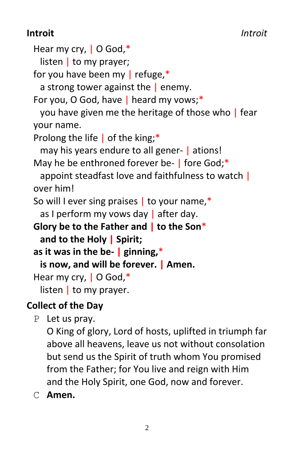# **Introit** *Introit*

```
Hear my cry, | O God,*
   listen | to my prayer;
 for you have been my \vert refuge,*
   a strong tower against the \vert enemy.
 For you, O God, have | heard my vows;*
   you have given me the heritage of those who | fear 
 your name.
 Prolong the life | of the king;*
   may his years endure to all gener- | ations!
 May he be enthroned forever be- | fore God;*
   appoint steadfast love and faithfulness to watch |
 over him!
 So will I ever sing praises | to your name,*
   as I perform my vows day | after day.
 Glory be to the Father and | to the Son*
   and to the Holy | Spirit;
 as it was in the be- | ginning,*
   is now, and will be forever. | Amen.
 Hear my cry, | O God,*
   listen \vert to my prayer.
Collect of the Day
```

```
P Let us pray.
```
O King of glory, Lord of hosts, uplifted in triumph far above all heavens, leave us not without consolation but send us the Spirit of truth whom You promised from the Father; for You live and reign with Him and the Holy Spirit, one God, now and forever.

C **Amen.**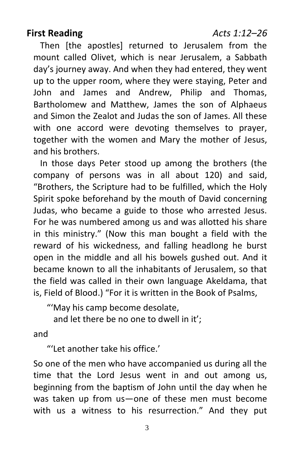Then [the apostles] returned to Jerusalem from the mount called Olivet, which is near Jerusalem, a Sabbath day's journey away. And when they had entered, they went up to the upper room, where they were staying, Peter and John and James and Andrew, Philip and Thomas, Bartholomew and Matthew, James the son of Alphaeus and Simon the Zealot and Judas the son of James. All these with one accord were devoting themselves to prayer. together with the women and Mary the mother of Jesus, and his brothers.

In those days Peter stood up among the brothers (the company of persons was in all about 120) and said, "Brothers, the Scripture had to be fulfilled, which the Holy Spirit spoke beforehand by the mouth of David concerning Judas, who became a guide to those who arrested Jesus. For he was numbered among us and was allotted his share in this ministry." (Now this man bought a field with the reward of his wickedness, and falling headlong he burst open in the middle and all his bowels gushed out. And it became known to all the inhabitants of Jerusalem, so that the field was called in their own language Akeldama, that is, Field of Blood.) "For it is written in the Book of Psalms,

"'May his camp become desolate,

and let there be no one to dwell in it';

and

"'Let another take his office.'

So one of the men who have accompanied us during all the time that the Lord Jesus went in and out among us, beginning from the baptism of John until the day when he was taken up from us—one of these men must become with us a witness to his resurrection." And they put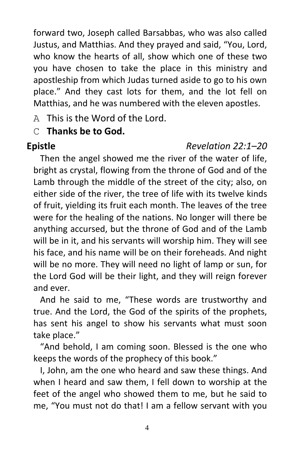forward two, Joseph called Barsabbas, who was also called Justus, and Matthias. And they prayed and said, "You, Lord, who know the hearts of all, show which one of these two you have chosen to take the place in this ministry and apostleship from which Judas turned aside to go to his own place." And they cast lots for them, and the lot fell on Matthias, and he was numbered with the eleven apostles.

A This is the Word of the Lord.

## C **Thanks be to God.**

#### **Epistle** *Revelation 22:1–20*

Then the angel showed me the river of the water of life, bright as crystal, flowing from the throne of God and of the Lamb through the middle of the street of the city; also, on either side of the river, the tree of life with its twelve kinds of fruit, yielding its fruit each month. The leaves of the tree were for the healing of the nations. No longer will there be anything accursed, but the throne of God and of the Lamb will be in it, and his servants will worship him. They will see his face, and his name will be on their foreheads. And night will be no more. They will need no light of lamp or sun, for the Lord God will be their light, and they will reign forever and ever.

And he said to me, "These words are trustworthy and true. And the Lord, the God of the spirits of the prophets, has sent his angel to show his servants what must soon take place."

"And behold, I am coming soon. Blessed is the one who keeps the words of the prophecy of this book."

I, John, am the one who heard and saw these things. And when I heard and saw them, I fell down to worship at the feet of the angel who showed them to me, but he said to me, "You must not do that! I am a fellow servant with you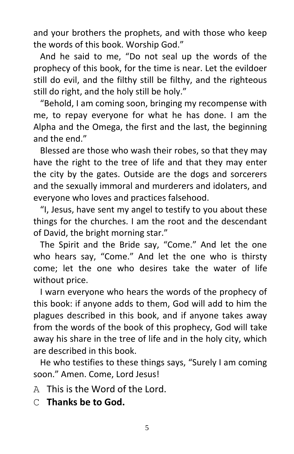and your brothers the prophets, and with those who keep the words of this book. Worship God."

And he said to me, "Do not seal up the words of the prophecy of this book, for the time is near. Let the evildoer still do evil, and the filthy still be filthy, and the righteous still do right, and the holy still be holy."

"Behold, I am coming soon, bringing my recompense with me, to repay everyone for what he has done. I am the Alpha and the Omega, the first and the last, the beginning and the end."

Blessed are those who wash their robes, so that they may have the right to the tree of life and that they may enter the city by the gates. Outside are the dogs and sorcerers and the sexually immoral and murderers and idolaters, and everyone who loves and practices falsehood.

"I, Jesus, have sent my angel to testify to you about these things for the churches. I am the root and the descendant of David, the bright morning star."

The Spirit and the Bride say, "Come." And let the one who hears say, "Come." And let the one who is thirsty come; let the one who desires take the water of life without price.

I warn everyone who hears the words of the prophecy of this book: if anyone adds to them, God will add to him the plagues described in this book, and if anyone takes away from the words of the book of this prophecy, God will take away his share in the tree of life and in the holy city, which are described in this book.

He who testifies to these things says, "Surely I am coming soon." Amen. Come, Lord Jesus!

- A This is the Word of the Lord.
- C **Thanks be to God.**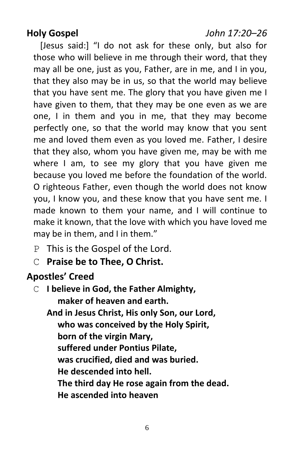#### **Holy Gospel** *John 17:20–26*

[Jesus said:] "I do not ask for these only, but also for those who will believe in me through their word, that they may all be one, just as you, Father, are in me, and I in you, that they also may be in us, so that the world may believe that you have sent me. The glory that you have given me I have given to them, that they may be one even as we are one, I in them and you in me, that they may become perfectly one, so that the world may know that you sent me and loved them even as you loved me. Father, I desire that they also, whom you have given me, may be with me where I am, to see my glory that you have given me because you loved me before the foundation of the world. O righteous Father, even though the world does not know you, I know you, and these know that you have sent me. I made known to them your name, and I will continue to make it known, that the love with which you have loved me may be in them, and I in them."

- P This is the Gospel of the Lord.
- C **Praise be to Thee, O Christ.**

## **Apostles' Creed**

C **I believe in God, the Father Almighty, maker of heaven and earth. And in Jesus Christ, His only Son, our Lord, who was conceived by the Holy Spirit, born of the virgin Mary, suffered under Pontius Pilate, was crucified, died and was buried. He descended into hell. The third day He rose again from the dead. He ascended into heaven**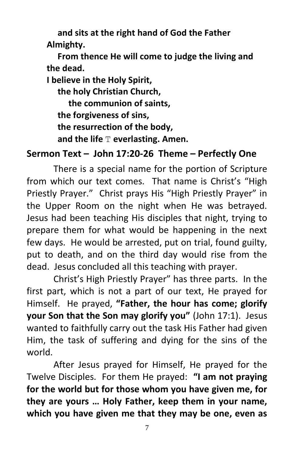**and sits at the right hand of God the Father Almighty.**

 **From thence He will come to judge the living and the dead.**

**I believe in the Holy Spirit,**

 **the holy Christian Church, the communion of saints, the forgiveness of sins, the resurrection of the body, and the life** T **everlasting. Amen.**

## **Sermon Text – John 17:20-26 Theme – Perfectly One**

There is a special name for the portion of Scripture from which our text comes. That name is Christ's "High Priestly Prayer." Christ prays His "High Priestly Prayer" in the Upper Room on the night when He was betrayed. Jesus had been teaching His disciples that night, trying to prepare them for what would be happening in the next few days. He would be arrested, put on trial, found guilty, put to death, and on the third day would rise from the dead. Jesus concluded all this teaching with prayer.

Christ's High Priestly Prayer" has three parts. In the first part, which is not a part of our text, He prayed for Himself. He prayed, **"Father, the hour has come; glorify your Son that the Son may glorify you"** (John 17:1). Jesus wanted to faithfully carry out the task His Father had given Him, the task of suffering and dying for the sins of the world.

After Jesus prayed for Himself, He prayed for the Twelve Disciples. For them He prayed: **"I am not praying for the world but for those whom you have given me, for they are yours … Holy Father, keep them in your name, which you have given me that they may be one, even as**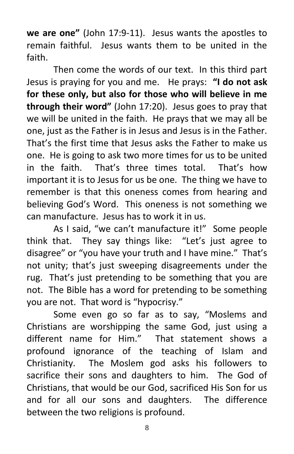**we are one"** (John 17:9-11). Jesus wants the apostles to remain faithful. Jesus wants them to be united in the faith.

Then come the words of our text. In this third part Jesus is praying for you and me. He prays: **"I do not ask for these only, but also for those who will believe in me through their word"** (John 17:20). Jesus goes to pray that we will be united in the faith. He prays that we may all be one, just as the Father is in Jesus and Jesus is in the Father. That's the first time that Jesus asks the Father to make us one. He is going to ask two more times for us to be united in the faith. That's three times total. That's how important it is to Jesus for us be one. The thing we have to remember is that this oneness comes from hearing and believing God's Word. This oneness is not something we can manufacture. Jesus has to work it in us.

As I said, "we can't manufacture it!" Some people think that. They say things like: "Let's just agree to disagree" or "you have your truth and I have mine." That's not unity; that's just sweeping disagreements under the rug. That's just pretending to be something that you are not. The Bible has a word for pretending to be something you are not. That word is "hypocrisy."

Some even go so far as to say, "Moslems and Christians are worshipping the same God, just using a different name for Him." That statement shows a profound ignorance of the teaching of Islam and Christianity. The Moslem god asks his followers to sacrifice their sons and daughters to him. The God of Christians, that would be our God, sacrificed His Son for us and for all our sons and daughters. The difference between the two religions is profound.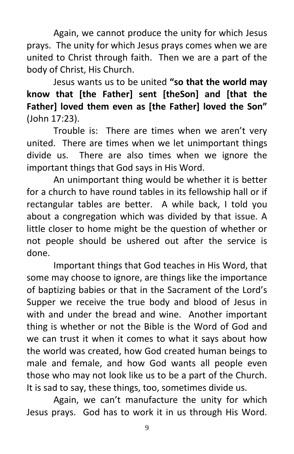Again, we cannot produce the unity for which Jesus prays. The unity for which Jesus prays comes when we are united to Christ through faith. Then we are a part of the body of Christ, His Church.

Jesus wants us to be united **"so that the world may know that [the Father] sent [theSon] and [that the Father] loved them even as [the Father] loved the Son"**  (John 17:23).

Trouble is: There are times when we aren't very united. There are times when we let unimportant things divide us. There are also times when we ignore the important things that God says in His Word.

An unimportant thing would be whether it is better for a church to have round tables in its fellowship hall or if rectangular tables are better. A while back, I told you about a congregation which was divided by that issue. A little closer to home might be the question of whether or not people should be ushered out after the service is done.

Important things that God teaches in His Word, that some may choose to ignore, are things like the importance of baptizing babies or that in the Sacrament of the Lord's Supper we receive the true body and blood of Jesus in with and under the bread and wine. Another important thing is whether or not the Bible is the Word of God and we can trust it when it comes to what it says about how the world was created, how God created human beings to male and female, and how God wants all people even those who may not look like us to be a part of the Church. It is sad to say, these things, too, sometimes divide us.

Again, we can't manufacture the unity for which Jesus prays. God has to work it in us through His Word.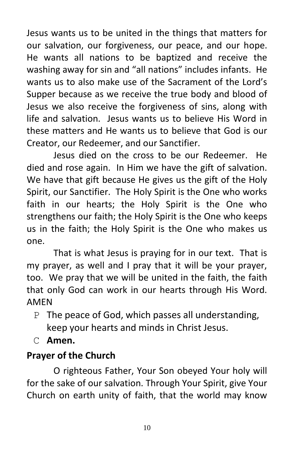Jesus wants us to be united in the things that matters for our salvation, our forgiveness, our peace, and our hope. He wants all nations to be baptized and receive the washing away for sin and "all nations" includes infants. He wants us to also make use of the Sacrament of the Lord's Supper because as we receive the true body and blood of Jesus we also receive the forgiveness of sins, along with life and salvation. Jesus wants us to believe His Word in these matters and He wants us to believe that God is our Creator, our Redeemer, and our Sanctifier.

Jesus died on the cross to be our Redeemer. He died and rose again. In Him we have the gift of salvation. We have that gift because He gives us the gift of the Holy Spirit, our Sanctifier. The Holy Spirit is the One who works faith in our hearts; the Holy Spirit is the One who strengthens our faith; the Holy Spirit is the One who keeps us in the faith; the Holy Spirit is the One who makes us one.

That is what Jesus is praying for in our text. That is my prayer, as well and I pray that it will be your prayer, too. We pray that we will be united in the faith, the faith that only God can work in our hearts through His Word. AMEN

- P The peace of God, which passes all understanding, keep your hearts and minds in Christ Jesus.
- C **Amen.**

## **Prayer of the Church**

O righteous Father, Your Son obeyed Your holy will for the sake of our salvation. Through Your Spirit, give Your Church on earth unity of faith, that the world may know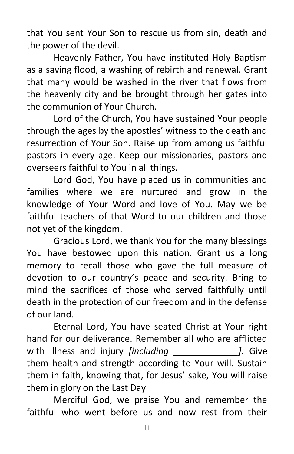that You sent Your Son to rescue us from sin, death and the power of the devil.

Heavenly Father, You have instituted Holy Baptism as a saving flood, a washing of rebirth and renewal. Grant that many would be washed in the river that flows from the heavenly city and be brought through her gates into the communion of Your Church.

Lord of the Church, You have sustained Your people through the ages by the apostles' witness to the death and resurrection of Your Son. Raise up from among us faithful pastors in every age. Keep our missionaries, pastors and overseers faithful to You in all things.

Lord God, You have placed us in communities and families where we are nurtured and grow in the knowledge of Your Word and love of You. May we be faithful teachers of that Word to our children and those not yet of the kingdom.

Gracious Lord, we thank You for the many blessings You have bestowed upon this nation. Grant us a long memory to recall those who gave the full measure of devotion to our country's peace and security. Bring to mind the sacrifices of those who served faithfully until death in the protection of our freedom and in the defense of our land.

Eternal Lord, You have seated Christ at Your right hand for our deliverance. Remember all who are afflicted with illness and injury *[including \_\_\_\_\_\_\_\_\_\_\_\_\_].* Give them health and strength according to Your will. Sustain them in faith, knowing that, for Jesus' sake, You will raise them in glory on the Last Day

Merciful God, we praise You and remember the faithful who went before us and now rest from their